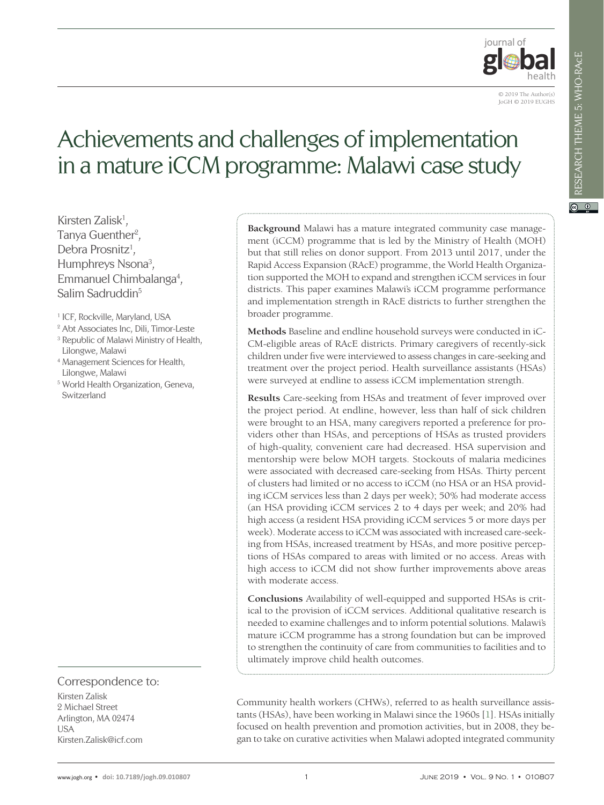

© 2019 The Author(s) JoGH © 2019 EUGHS

# Achievements and challenges of implementation in a mature iCCM programme: Malawi case study

Kirsten Zalisk<sup>1</sup>, Tanya Guenther<sup>2</sup>, Debra Prosnitz<sup>1</sup>, Humphreys Nsona<sup>3</sup>, Emmanuel Chimbalanga<sup>4</sup>, Salim Sadruddin5

1 ICF, Rockville, Maryland, USA

- 2 Abt Associates Inc, Dili, Timor-Leste
- <sup>3</sup> Republic of Malawi Ministry of Health, Lilongwe, Malawi
- <sup>4</sup> Management Sciences for Health, Lilongwe, Malawi
- <sup>5</sup> World Health Organization, Geneva, Switzerland

Correspondence to:

Kirsten Zalisk 2 Michael Street Arlington, MA 02474 **I** ISA Kirsten.Zalisk@icf.com **Background** Malawi has a mature integrated community case management (iCCM) programme that is led by the Ministry of Health (MOH) but that still relies on donor support. From 2013 until 2017, under the Rapid Access Expansion (RAcE) programme, the World Health Organization supported the MOH to expand and strengthen iCCM services in four districts. This paper examines Malawi's iCCM programme performance and implementation strength in RAcE districts to further strengthen the broader programme.

**Methods** Baseline and endline household surveys were conducted in iC-CM-eligible areas of RAcE districts. Primary caregivers of recently-sick children under five were interviewed to assess changes in care-seeking and treatment over the project period. Health surveillance assistants (HSAs) were surveyed at endline to assess iCCM implementation strength.

**Results** Care-seeking from HSAs and treatment of fever improved over the project period. At endline, however, less than half of sick children were brought to an HSA, many caregivers reported a preference for providers other than HSAs, and perceptions of HSAs as trusted providers of high-quality, convenient care had decreased. HSA supervision and mentorship were below MOH targets. Stockouts of malaria medicines were associated with decreased care-seeking from HSAs. Thirty percent of clusters had limited or no access to iCCM (no HSA or an HSA providing iCCM services less than 2 days per week); 50% had moderate access (an HSA providing iCCM services 2 to 4 days per week; and 20% had high access (a resident HSA providing iCCM services 5 or more days per week). Moderate access to iCCM was associated with increased care-seeking from HSAs, increased treatment by HSAs, and more positive perceptions of HSAs compared to areas with limited or no access. Areas with high access to iCCM did not show further improvements above areas with moderate access.

**Conclusions** Availability of well-equipped and supported HSAs is critical to the provision of iCCM services. Additional qualitative research is needed to examine challenges and to inform potential solutions. Malawi's mature iCCM programme has a strong foundation but can be improved to strengthen the continuity of care from communities to facilities and to ultimately improve child health outcomes.

Community health workers (CHWs), referred to as health surveillance assistants (HSAs), have been working in Malawi since the 1960s [\[1\]](#page-10-0). HSAs initially focused on health prevention and promotion activities, but in 2008, they began to take on curative activities when Malawi adopted integrated community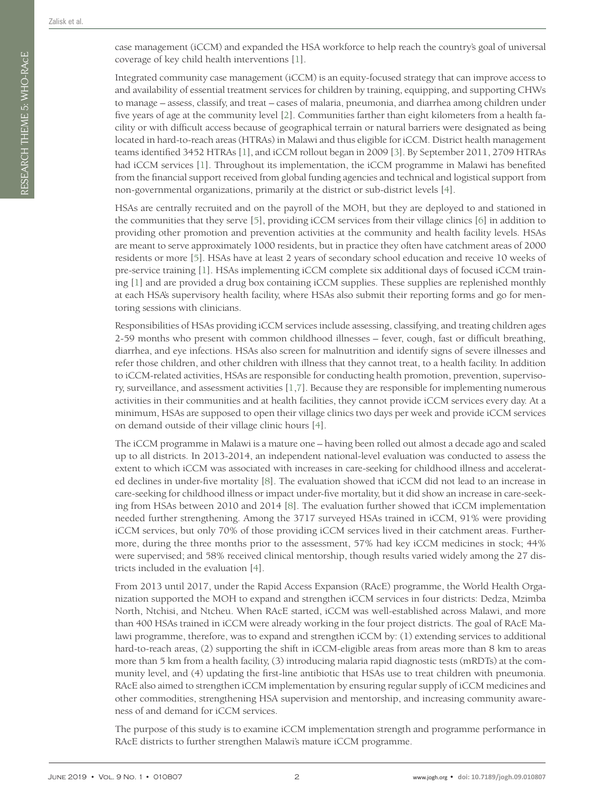Integrated community case management (iCCM) is an equity-focused strategy that can improve access to and availability of essential treatment services for children by training, equipping, and supporting CHWs to manage – assess, classify, and treat – cases of malaria, pneumonia, and diarrhea among children under five years of age at the community level [[2](#page-10-1)]. Communities farther than eight kilometers from a health facility or with difficult access because of geographical terrain or natural barriers were designated as being located in hard-to-reach areas (HTRAs) in Malawi and thus eligible for iCCM. District health management teams identified 3452 HTRAs [[1\]](#page-10-0), and iCCM rollout began in 2009 [\[3\]](#page-10-2). By September 2011, 2709 HTRAs had iCCM services [\[1](#page-10-0)]. Throughout its implementation, the iCCM programme in Malawi has benefited from the financial support received from global funding agencies and technical and logistical support from non-governmental organizations, primarily at the district or sub-district levels [\[4](#page-11-0)].

HSAs are centrally recruited and on the payroll of the MOH, but they are deployed to and stationed in the communities that they serve [\[5\]](#page-11-1), providing iCCM services from their village clinics [[6\]](#page-11-2) in addition to providing other promotion and prevention activities at the community and health facility levels. HSAs are meant to serve approximately 1000 residents, but in practice they often have catchment areas of 2000 residents or more [\[5](#page-11-1)]. HSAs have at least 2 years of secondary school education and receive 10 weeks of pre-service training [[1](#page-10-0)]. HSAs implementing iCCM complete six additional days of focused iCCM training [\[1\]](#page-10-0) and are provided a drug box containing iCCM supplies. These supplies are replenished monthly at each HSA's supervisory health facility, where HSAs also submit their reporting forms and go for mentoring sessions with clinicians.

Responsibilities of HSAs providing iCCM services include assessing, classifying, and treating children ages 2-59 months who present with common childhood illnesses – fever, cough, fast or difficult breathing, diarrhea, and eye infections. HSAs also screen for malnutrition and identify signs of severe illnesses and refer those children, and other children with illness that they cannot treat, to a health facility. In addition to iCCM-related activities, HSAs are responsible for conducting health promotion, prevention, supervisory, surveillance, and assessment activities [[1](#page-10-0)[,7\]](#page-11-3). Because they are responsible for implementing numerous activities in their communities and at health facilities, they cannot provide iCCM services every day. At a minimum, HSAs are supposed to open their village clinics two days per week and provide iCCM services on demand outside of their village clinic hours [[4](#page-11-0)].

The iCCM programme in Malawi is a mature one – having been rolled out almost a decade ago and scaled up to all districts. In 2013-2014, an independent national-level evaluation was conducted to assess the extent to which iCCM was associated with increases in care-seeking for childhood illness and accelerated declines in under-five mortality [[8](#page-11-4)]. The evaluation showed that iCCM did not lead to an increase in care-seeking for childhood illness or impact under-five mortality, but it did show an increase in care-seeking from HSAs between 2010 and 2014 [[8](#page-11-4)]. The evaluation further showed that iCCM implementation needed further strengthening. Among the 3717 surveyed HSAs trained in iCCM, 91% were providing iCCM services, but only 70% of those providing iCCM services lived in their catchment areas. Furthermore, during the three months prior to the assessment, 57% had key iCCM medicines in stock; 44% were supervised; and 58% received clinical mentorship, though results varied widely among the 27 districts included in the evaluation [[4\]](#page-11-0).

From 2013 until 2017, under the Rapid Access Expansion (RAcE) programme, the World Health Organization supported the MOH to expand and strengthen iCCM services in four districts: Dedza, Mzimba North, Ntchisi, and Ntcheu. When RAcE started, iCCM was well-established across Malawi, and more than 400 HSAs trained in iCCM were already working in the four project districts. The goal of RAcE Malawi programme, therefore, was to expand and strengthen iCCM by: (1) extending services to additional hard-to-reach areas, (2) supporting the shift in iCCM-eligible areas from areas more than 8 km to areas more than 5 km from a health facility, (3) introducing malaria rapid diagnostic tests (mRDTs) at the community level, and (4) updating the first-line antibiotic that HSAs use to treat children with pneumonia. RAcE also aimed to strengthen iCCM implementation by ensuring regular supply of iCCM medicines and other commodities, strengthening HSA supervision and mentorship, and increasing community awareness of and demand for iCCM services.

The purpose of this study is to examine iCCM implementation strength and programme performance in RAcE districts to further strengthen Malawi's mature iCCM programme.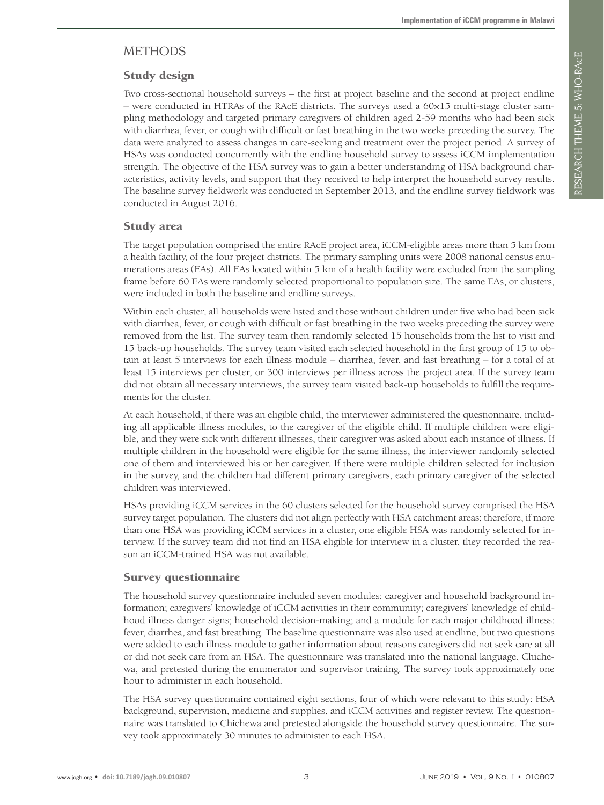# METHODS AND THE SERVICE SERVICES AND THE SERVICES OF THE SERVICE SERVICE SERVICE SERVICES OF THE SERVICE SERVICE SERVICE SERVICES OF THE SERVICE SERVICE SERVICE SERVICE SERVICE SERVICE SERVICE SERVICE SERVICE SERVICE SERVI

## Study design

Two cross-sectional household surveys – the first at project baseline and the second at project endline – were conducted in HTRAs of the RAcE districts. The surveys used a 60×15 multi-stage cluster sampling methodology and targeted primary caregivers of children aged 2-59 months who had been sick with diarrhea, fever, or cough with difficult or fast breathing in the two weeks preceding the survey. The data were analyzed to assess changes in care-seeking and treatment over the project period. A survey of HSAs was conducted concurrently with the endline household survey to assess iCCM implementation strength. The objective of the HSA survey was to gain a better understanding of HSA background characteristics, activity levels, and support that they received to help interpret the household survey results. The baseline survey fieldwork was conducted in September 2013, and the endline survey fieldwork was conducted in August 2016.

### Study area

The target population comprised the entire RAcE project area, iCCM-eligible areas more than 5 km from a health facility, of the four project districts. The primary sampling units were 2008 national census enumerations areas (EAs). All EAs located within 5 km of a health facility were excluded from the sampling frame before 60 EAs were randomly selected proportional to population size. The same EAs, or clusters, were included in both the baseline and endline surveys.

Within each cluster, all households were listed and those without children under five who had been sick with diarrhea, fever, or cough with difficult or fast breathing in the two weeks preceding the survey were removed from the list. The survey team then randomly selected 15 households from the list to visit and 15 back-up households. The survey team visited each selected household in the first group of 15 to obtain at least 5 interviews for each illness module – diarrhea, fever, and fast breathing – for a total of at least 15 interviews per cluster, or 300 interviews per illness across the project area. If the survey team did not obtain all necessary interviews, the survey team visited back-up households to fulfill the requirements for the cluster.

At each household, if there was an eligible child, the interviewer administered the questionnaire, including all applicable illness modules, to the caregiver of the eligible child. If multiple children were eligible, and they were sick with different illnesses, their caregiver was asked about each instance of illness. If multiple children in the household were eligible for the same illness, the interviewer randomly selected one of them and interviewed his or her caregiver. If there were multiple children selected for inclusion in the survey, and the children had different primary caregivers, each primary caregiver of the selected children was interviewed.

HSAs providing iCCM services in the 60 clusters selected for the household survey comprised the HSA survey target population. The clusters did not align perfectly with HSA catchment areas; therefore, if more than one HSA was providing iCCM services in a cluster, one eligible HSA was randomly selected for interview. If the survey team did not find an HSA eligible for interview in a cluster, they recorded the reason an iCCM-trained HSA was not available.

### Survey questionnaire

The household survey questionnaire included seven modules: caregiver and household background information; caregivers' knowledge of iCCM activities in their community; caregivers' knowledge of childhood illness danger signs; household decision-making; and a module for each major childhood illness: fever, diarrhea, and fast breathing. The baseline questionnaire was also used at endline, but two questions were added to each illness module to gather information about reasons caregivers did not seek care at all or did not seek care from an HSA. The questionnaire was translated into the national language, Chichewa, and pretested during the enumerator and supervisor training. The survey took approximately one hour to administer in each household.

The HSA survey questionnaire contained eight sections, four of which were relevant to this study: HSA background, supervision, medicine and supplies, and iCCM activities and register review. The questionnaire was translated to Chichewa and pretested alongside the household survey questionnaire. The survey took approximately 30 minutes to administer to each HSA.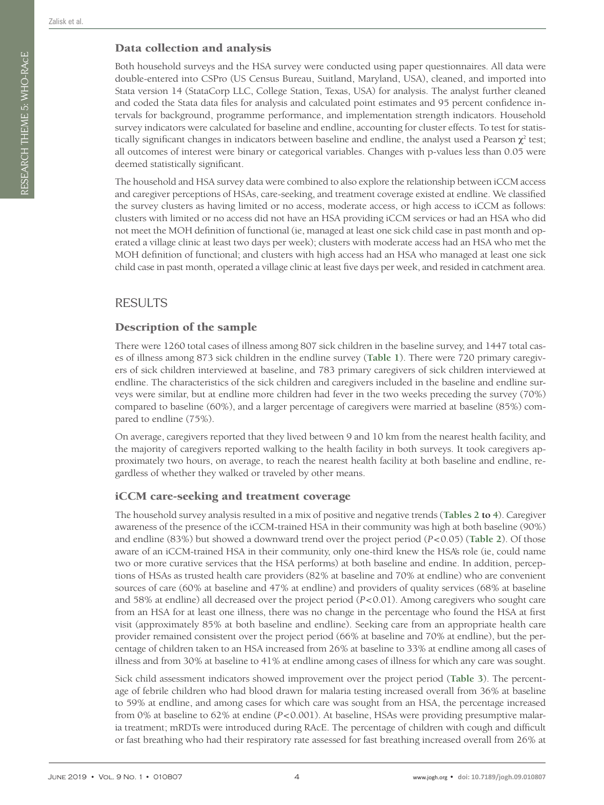#### Data collection and analysis

Both household surveys and the HSA survey were conducted using paper questionnaires. All data were double-entered into CSPro (US Census Bureau, Suitland, Maryland, USA), cleaned, and imported into Stata version 14 (StataCorp LLC, College Station, Texas, USA) for analysis. The analyst further cleaned and coded the Stata data files for analysis and calculated point estimates and 95 percent confidence intervals for background, programme performance, and implementation strength indicators. Household survey indicators were calculated for baseline and endline, accounting for cluster effects. To test for statistically significant changes in indicators between baseline and endline, the analyst used a Pearson  $\chi^2$  test; all outcomes of interest were binary or categorical variables. Changes with p-values less than 0.05 were deemed statistically significant.

The household and HSA survey data were combined to also explore the relationship between iCCM access and caregiver perceptions of HSAs, care-seeking, and treatment coverage existed at endline. We classified the survey clusters as having limited or no access, moderate access, or high access to iCCM as follows: clusters with limited or no access did not have an HSA providing iCCM services or had an HSA who did not meet the MOH definition of functional (ie, managed at least one sick child case in past month and operated a village clinic at least two days per week); clusters with moderate access had an HSA who met the MOH definition of functional; and clusters with high access had an HSA who managed at least one sick child case in past month, operated a village clinic at least five days per week, and resided in catchment area.

#### RESULTS

#### Description of the sample

There were 1260 total cases of illness among 807 sick children in the baseline survey, and 1447 total cases of illness among 873 sick children in the endline survey (**[Table 1](#page-4-0)**). There were 720 primary caregivers of sick children interviewed at baseline, and 783 primary caregivers of sick children interviewed at endline. The characteristics of the sick children and caregivers included in the baseline and endline surveys were similar, but at endline more children had fever in the two weeks preceding the survey (70%) compared to baseline (60%), and a larger percentage of caregivers were married at baseline (85%) compared to endline (75%).

On average, caregivers reported that they lived between 9 and 10 km from the nearest health facility, and the majority of caregivers reported walking to the health facility in both surveys. It took caregivers approximately two hours, on average, to reach the nearest health facility at both baseline and endline, regardless of whether they walked or traveled by other means.

#### iCCM care-seeking and treatment coverage

The household survey analysis resulted in a mix of positive and negative trends (**[Tables 2](#page-4-1) to [4](#page-5-0)**). Caregiver awareness of the presence of the iCCM-trained HSA in their community was high at both baseline (90%) and endline (83%) but showed a downward trend over the project period (*P*<0.05) (**[Table 2](#page-4-1)**). Of those aware of an iCCM-trained HSA in their community, only one-third knew the HSA's role (ie, could name two or more curative services that the HSA performs) at both baseline and endine. In addition, perceptions of HSAs as trusted health care providers (82% at baseline and 70% at endline) who are convenient sources of care (60% at baseline and 47% at endline) and providers of quality services (68% at baseline and 58% at endline) all decreased over the project period (*P*<0.01). Among caregivers who sought care from an HSA for at least one illness, there was no change in the percentage who found the HSA at first visit (approximately 85% at both baseline and endline). Seeking care from an appropriate health care provider remained consistent over the project period (66% at baseline and 70% at endline), but the percentage of children taken to an HSA increased from 26% at baseline to 33% at endline among all cases of illness and from 30% at baseline to 41% at endline among cases of illness for which any care was sought.

Sick child assessment indicators showed improvement over the project period (**[Table 3](#page-5-1)**). The percentage of febrile children who had blood drawn for malaria testing increased overall from 36% at baseline to 59% at endline, and among cases for which care was sought from an HSA, the percentage increased from 0% at baseline to 62% at endine (*P*<0.001). At baseline, HSAs were providing presumptive malaria treatment; mRDTs were introduced during RAcE. The percentage of children with cough and difficult or fast breathing who had their respiratory rate assessed for fast breathing increased overall from 26% at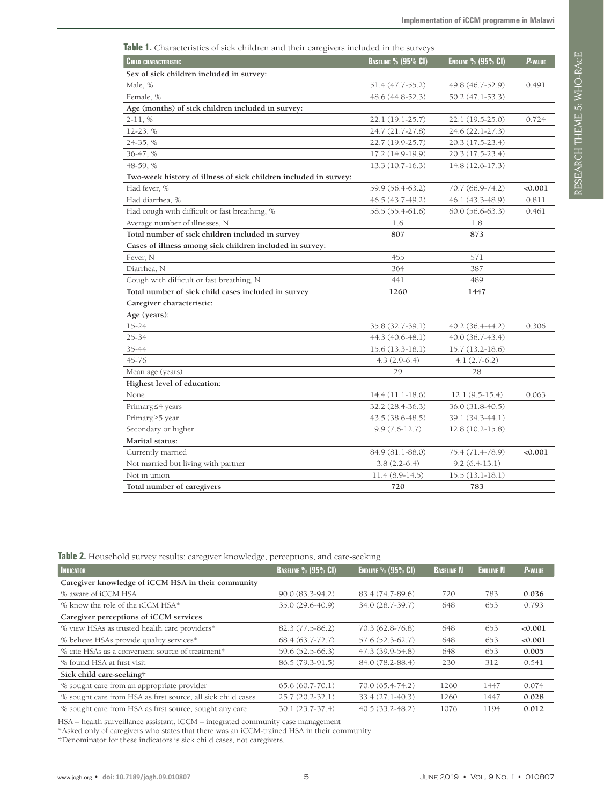<span id="page-4-0"></span>

| Table 1. Characteristics of sick children and their caregivers included in the surveys |                            |                           |                |
|----------------------------------------------------------------------------------------|----------------------------|---------------------------|----------------|
| <b>CHILD CHARACTERISTIC</b>                                                            | <b>BASELINE % (95% CI)</b> | <b>ENDLINE % (95% CI)</b> | <b>P-VALUE</b> |
| Sex of sick children included in survey:                                               |                            |                           |                |
| Male, %                                                                                | 51.4 (47.7-55.2)           | 49.8 (46.7-52.9)          | 0.491          |
| Female, %                                                                              | 48.6 (44.8-52.3)           | 50.2 (47.1-53.3)          |                |
| Age (months) of sick children included in survey:                                      |                            |                           |                |
| $2-11, %$                                                                              | 22.1 (19.1-25.7)           | 22.1 (19.5-25.0)          | 0.724          |
| 12-23, %                                                                               | 24.7 (21.7-27.8)           | 24.6 (22.1-27.3)          |                |
| 24-35, %                                                                               | 22.7 (19.9-25.7)           | 20.3 (17.5-23.4)          |                |
| 36-47, %                                                                               | 17.2 (14.9-19.9)           | 20.3 (17.5-23.4)          |                |
| 48-59, %                                                                               | $13.3(10.7-16.3)$          | $14.8(12.6-17.3)$         |                |
| Two-week history of illness of sick children included in survey:                       |                            |                           |                |
| Had fever, %                                                                           | 59.9 (56.4-63.2)           | 70.7 (66.9-74.2)          | 0.001          |
| Had diarrhea, %                                                                        | 46.5 (43.7-49.2)           | 46.1 (43.3-48.9)          | 0.811          |
| Had cough with difficult or fast breathing, %                                          | 58.5 (55.4-61.6)           | $60.0(56.6-63.3)$         | 0.461          |
| Average number of illnesses, N                                                         | 1.6                        | 1.8                       |                |
| Total number of sick children included in survey                                       | 807                        | 873                       |                |
| Cases of illness among sick children included in survey:                               |                            |                           |                |
| Fever, N                                                                               | 455                        | 571                       |                |
| Diarrhea, N                                                                            | 364                        | 387                       |                |
| Cough with difficult or fast breathing, N                                              | 441                        | 489                       |                |
| Total number of sick child cases included in survey                                    | 1260                       | 1447                      |                |
| Caregiver characteristic:                                                              |                            |                           |                |
| Age (years):                                                                           |                            |                           |                |
| $15 - 24$                                                                              | 35.8 (32.7-39.1)           | 40.2 (36.4-44.2)          | 0.306          |
| $25 - 34$                                                                              | 44.3 (40.6-48.1)           | 40.0 (36.7-43.4)          |                |
| 35-44                                                                                  | 15.6 (13.3-18.1)           | $15.7(13.2 - 18.6)$       |                |
| 45-76                                                                                  | $4.3(2.9-6.4)$             | $4.1(2.7-6.2)$            |                |
| Mean age (years)                                                                       | 29                         | 28                        |                |
| Highest level of education:                                                            |                            |                           |                |
| None                                                                                   | $14.4(11.1-18.6)$          | $12.1(9.5-15.4)$          | 0.063          |
| Primary,≤4 years                                                                       | 32.2 (28.4-36.3)           | 36.0 (31.8-40.5)          |                |
| Primary,≥5 year                                                                        | 43.5 (38.6-48.5)           | 39.1 (34.3-44.1)          |                |
| Secondary or higher                                                                    | $9.9(7.6-12.7)$            | $12.8(10.2-15.8)$         |                |
| Marital status:                                                                        |                            |                           |                |
| Currently married                                                                      | 84.9 (81.1-88.0)           | 75.4 (71.4-78.9)          | < 0.001        |
| Not married but living with partner                                                    | $3.8(2.2-6.4)$             | $9.2(6.4-13.1)$           |                |
| Not in union                                                                           | $11.4(8.9-14.5)$           | $15.5(13.1-18.1)$         |                |
| Total number of caregivers                                                             | 720                        | 783                       |                |

<span id="page-4-1"></span>**Table 2.** Household survey results: caregiver knowledge, perceptions, and care-seeking

| <b>NDICATOR</b>                                              | <b>BASELINE % (95% CI)</b> | <b>ENDLINE % (95% CI)</b> | <b>BASELINE N</b> | <b>ENDLINE N</b> | P-VALUE |
|--------------------------------------------------------------|----------------------------|---------------------------|-------------------|------------------|---------|
| Caregiver knowledge of iCCM HSA in their community           |                            |                           |                   |                  |         |
| % aware of iCCM HSA                                          | $90.0(83.3-94.2)$          | 83.4 (74.7-89.6)          | 720               | 783              | 0.036   |
| % know the role of the iCCM HSA*                             | 35.0 (29.6-40.9)           | 34.0 (28.7-39.7)          | 648               | 653              | 0.793   |
| Caregiver perceptions of iCCM services                       |                            |                           |                   |                  |         |
| % view HSAs as trusted health care providers*                | 82.3 (77.5-86.2)           | 70.3 (62.8-76.8)          | 648               | 653              | < 0.001 |
| % believe HSAs provide quality services*                     | 68.4 (63.7-72.7)           | 57.6 (52.3-62.7)          | 648               | 653              | < 0.001 |
| % cite HSAs as a convenient source of treatment*             | 59.6 (52.5-66.3)           | 47.3 (39.9-54.8)          | 648               | 653              | 0.005   |
| % found HSA at first visit                                   | 86.5 (79.3-91.5)           | 84.0 (78.2-88.4)          | 230               | 312              | 0.541   |
| Sick child care-seeking†                                     |                            |                           |                   |                  |         |
| % sought care from an appropriate provider                   | $65.6(60.7-70.1)$          | 70.0 (65.4-74.2)          | 1260              | 1447             | 0.074   |
| % sought care from HSA as first source, all sick child cases | $25.7(20.2-32.1)$          | 33.4 (27.1-40.3)          | 1260              | 1447             | 0.028   |
| % sought care from HSA as first source, sought any care      | 30.1 (23.7-37.4)           | $40.5(33.2 - 48.2)$       | 1076              | 1194             | 0.012   |

HSA – health surveillance assistant, iCCM – integrated community case management

\*Asked only of caregivers who states that there was an iCCM-trained HSA in their community.

†Denominator for these indicators is sick child cases, not caregivers.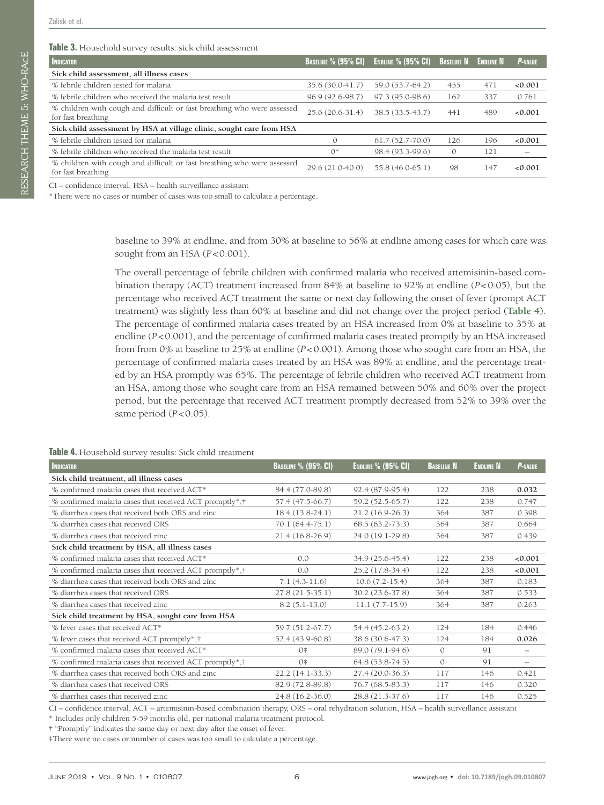<span id="page-5-1"></span>

| <b>INDICATOR</b>                                                                              | <b>BASELINE</b> % $(95\% \text{ CI})$ | <b>ENDLINE % (95% CI) BASELINE N</b> ENDLINE N |     |     | <b>P-VALUE</b> |
|-----------------------------------------------------------------------------------------------|---------------------------------------|------------------------------------------------|-----|-----|----------------|
| Sick child assessment, all illness cases                                                      |                                       |                                                |     |     |                |
| % febrile children tested for malaria                                                         | 35.6 (30.0-41.7)                      | 59.0 (53.7-64.2)                               | 455 | 471 | < 0.001        |
| % febrile children who received the malaria test result                                       | 96.9 (92.6-98.7)                      | 97.3 (95.0-98.6)                               | 162 | 337 | 0.761          |
| % children with cough and difficult or fast breathing who were assessed<br>for fast breathing | 25.6 (20.6-31.4)                      | 38.5 (33.5-43.7)                               | 441 | 489 | < 0.001        |
| Sick child assessment by HSA at village clinic, sought care from HSA                          |                                       |                                                |     |     |                |
| % febrile children tested for malaria                                                         |                                       | $61.7(52.7-70.0)$                              | 126 | 196 | < 0.001        |
| % febrile children who received the malaria test result                                       | $0^*$                                 | 98.4 (93.3-99.6)                               |     | 121 |                |
| % children with cough and difficult or fast breathing who were assessed<br>for fast breathing | $29.6(21.0-40.0)$                     | 55.8 (46.0-65.1)                               | 98  | 147 | < 0.001        |

CI – confidence interval, HSA – health surveillance assistant

\*There were no cases or number of cases was too small to calculate a percentage.

baseline to 39% at endline, and from 30% at baseline to 56% at endline among cases for which care was sought from an HSA ( $P < 0.001$ ).

The overall percentage of febrile children with confirmed malaria who received artemisinin-based combination therapy (ACT) treatment increased from 84% at baseline to 92% at endline (*P*<0.05), but the percentage who received ACT treatment the same or next day following the onset of fever (prompt ACT treatment) was slightly less than 60% at baseline and did not change over the project period (**[Table 4](#page-5-0)**). The percentage of confirmed malaria cases treated by an HSA increased from 0% at baseline to 35% at endline ( $P < 0.001$ ), and the percentage of confirmed malaria cases treated promptly by an HSA increased from from 0% at baseline to 25% at endline (*P*<0.001). Among those who sought care from an HSA, the percentage of confirmed malaria cases treated by an HSA was 89% at endline, and the percentage treated by an HSA promptly was 65%. The percentage of febrile children who received ACT treatment from an HSA, among those who sought care from an HSA remained between 50% and 60% over the project period, but the percentage that received ACT treatment promptly decreased from 52% to 39% over the same period ( $P < 0.05$ ).

| INDICATOR                                               | <b>BASELINE % (95% CI)</b> | <b>ENDLINE % (95% CI)</b> | <b>BASELINE N</b> | <b>ENDLINE N</b> | <b>P-VALUE</b>  |
|---------------------------------------------------------|----------------------------|---------------------------|-------------------|------------------|-----------------|
| Sick child treatment, all illness cases                 |                            |                           |                   |                  |                 |
| % confirmed malaria cases that received ACT*            | 84.4 (77.0-89.8)           | 92.4 (87.9-95.4)          | 122               | 238              | 0.032           |
| % confirmed malaria cases that received ACT promptly*,† | 57.4 (47.5-66.7)           | 59.2 (52.5-65.7)          | 122               | 238              | 0.747           |
| % diarrhea cases that received both ORS and zinc        | $18.4(13.8-24.1)$          | 21.2 (16.9-26.3)          | 364               | 387              | 0.398           |
| % diarrhea cases that received ORS                      | $70.1(64.4 - 75.1)$        | $68.5(63.2 - 73.3)$       | 364               | 387              | 0.664           |
| % diarrhea cases that received zinc                     | 21.4 (16.8-26.9)           | 24.0 (19.1-29.8)          | 364               | 387              | 0.439           |
| Sick child treatment by HSA, all illness cases          |                            |                           |                   |                  |                 |
| % confirmed malaria cases that received ACT*            | 0.0                        | 34.9 (25.6-45.4)          | 122               | 238              | < 0.001         |
| % confirmed malaria cases that received ACT promptly*,† | 0.0                        | 25.2 (17.8-34.4)          | 122               | 238              | < 0.001         |
| % diarrhea cases that received both ORS and zinc        | $7.1(4.3-11.6)$            | $10.6(7.2-15.4)$          | 364               | 387              | 0.183           |
| % diarrhea cases that received ORS                      | 27.8 (21.5-35.1)           | 30.2 (23.6-37.8)          | 364               | 387              | 0.533           |
| % diarrhea cases that received zinc                     | $8.2(5.1-13.0)$            | $11.1(7.7-15.9)$          | 364               | 387              | 0.263           |
| Sick child treatment by HSA, sought care from HSA       |                            |                           |                   |                  |                 |
| % fever cases that received ACT*                        | 59.7 (51.2-67.7)           | 54.4 (45.2-63.2)          | 124               | 184              | 0.446           |
| % fever cases that received ACT promptly*,†             | 52.4 (43.9-60.8)           | 38.6 (30.6-47.3)          | 124               | 184              | 0.026           |
| % confirmed malaria cases that received ACT*            | $0^{\ddagger}$             | 89.0 (79.1-94.6)          | $\mathcal{O}$     | 91               | $\qquad \qquad$ |
| % confirmed malaria cases that received ACT promptly*,† | $()$ $\ddagger$            | 64.8 (53.8-74.5)          | $\Omega$          | 91               |                 |
| % diarrhea cases that received both ORS and zinc        | $22.2(14.1-33.3)$          | 27.4 (20.0-36.3)          | 117               | 146              | 0.421           |
| % diarrhea cases that received ORS                      | 82.9 (72.8-89.8)           | 76.7 (68.5-83.3)          | 117               | 146              | 0.320           |
| % diarrhea cases that received zinc                     | 24.8 (16.2-36.0)           | 28.8 (21.3-37.6)          | 117               | 146              | 0.525           |

#### <span id="page-5-0"></span>**Table 4.** Household survey results: Sick child treatment

CI – confidence interval, ACT – artemisinin-based combination therapy, ORS – oral rehydration solution, HSA – health surveillance assistant

\* Includes only children 5-59 months old, per national malaria treatment protocol.

† "Promptly" indicates the same day or next day after the onset of fever.

‡There were no cases or number of cases was too small to calculate a percentage.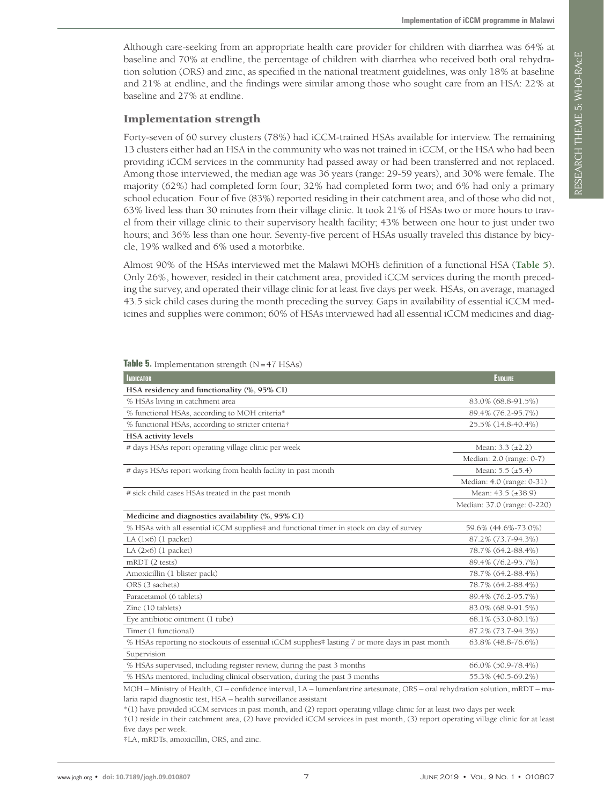Although care-seeking from an appropriate health care provider for children with diarrhea was 64% at baseline and 70% at endline, the percentage of children with diarrhea who received both oral rehydration solution (ORS) and zinc, as specified in the national treatment guidelines, was only 18% at baseline and 21% at endline, and the findings were similar among those who sought care from an HSA: 22% at baseline and 27% at endline.

#### Implementation strength

Forty-seven of 60 survey clusters (78%) had iCCM-trained HSAs available for interview. The remaining 13 clusters either had an HSA in the community who was not trained in iCCM, or the HSA who had been providing iCCM services in the community had passed away or had been transferred and not replaced. Among those interviewed, the median age was 36 years (range: 29-59 years), and 30% were female. The majority (62%) had completed form four; 32% had completed form two; and 6% had only a primary school education. Four of five (83%) reported residing in their catchment area, and of those who did not, 63% lived less than 30 minutes from their village clinic. It took 21% of HSAs two or more hours to travel from their village clinic to their supervisory health facility; 43% between one hour to just under two hours; and 36% less than one hour. Seventy-five percent of HSAs usually traveled this distance by bicycle, 19% walked and 6% used a motorbike.

Almost 90% of the HSAs interviewed met the Malawi MOH's definition of a functional HSA (**[Table 5](#page-6-0)**). Only 26%, however, resided in their catchment area, provided iCCM services during the month preceding the survey, and operated their village clinic for at least five days per week. HSAs, on average, managed 43.5 sick child cases during the month preceding the survey. Gaps in availability of essential iCCM medicines and supplies were common; 60% of HSAs interviewed had all essential iCCM medicines and diag-

| <b>INDICATOR</b>                                                                                                               | <b>ENDLINE</b>              |  |  |  |
|--------------------------------------------------------------------------------------------------------------------------------|-----------------------------|--|--|--|
| HSA residency and functionality (%, 95% CI)                                                                                    |                             |  |  |  |
| % HSAs living in catchment area                                                                                                | 83.0% (68.8-91.5%)          |  |  |  |
| % functional HSAs, according to MOH criteria*                                                                                  | 89.4% (76.2-95.7%)          |  |  |  |
| % functional HSAs, according to stricter criteria†                                                                             | 25.5% (14.8-40.4%)          |  |  |  |
| <b>HSA</b> activity levels                                                                                                     |                             |  |  |  |
| # days HSAs report operating village clinic per week                                                                           | Mean: 3.3 (±2.2)            |  |  |  |
|                                                                                                                                | Median: 2.0 (range: 0-7)    |  |  |  |
| # days HSAs report working from health facility in past month                                                                  | Mean: 5.5 (±5.4)            |  |  |  |
|                                                                                                                                | Median: 4.0 (range: 0-31)   |  |  |  |
| # sick child cases HSAs treated in the past month                                                                              | Mean: 43.5 (±38.9)          |  |  |  |
|                                                                                                                                | Median: 37.0 (range: 0-220) |  |  |  |
| Medicine and diagnostics availability (%, 95% CI)                                                                              |                             |  |  |  |
| % HSAs with all essential iCCM supplies# and functional timer in stock on day of survey                                        | 59.6% (44.6%-73.0%)         |  |  |  |
| LA $(1\times6)$ $(1)$ packet)                                                                                                  | 87.2% (73.7-94.3%)          |  |  |  |
| LA $(2\times6)$ $(1$ packet)                                                                                                   | 78.7% (64.2-88.4%)          |  |  |  |
| mRDT (2 tests)                                                                                                                 | 89.4% (76.2-95.7%)          |  |  |  |
| Amoxicillin (1 blister pack)                                                                                                   | 78.7% (64.2-88.4%)          |  |  |  |
| ORS (3 sachets)                                                                                                                | 78.7% (64.2-88.4%)          |  |  |  |
| Paracetamol (6 tablets)                                                                                                        | 89.4% (76.2-95.7%)          |  |  |  |
| Zinc (10 tablets)                                                                                                              | 83.0% (68.9-91.5%)          |  |  |  |
| Eye antibiotic ointment (1 tube)                                                                                               | 68.1% (53.0-80.1%)          |  |  |  |
| Timer (1 functional)                                                                                                           | 87.2% (73.7-94.3%)          |  |  |  |
| % HSAs reporting no stockouts of essential iCCM supplies‡ lasting 7 or more days in past month                                 | 63.8% (48.8-76.6%)          |  |  |  |
| Supervision                                                                                                                    |                             |  |  |  |
| % HSAs supervised, including register review, during the past 3 months                                                         | 66.0% (50.9-78.4%)          |  |  |  |
| % HSAs mentored, including clinical observation, during the past 3 months                                                      | 55.3% (40.5-69.2%)          |  |  |  |
| MOH - Ministry of Health, CI - confidence interval, LA - lumenfantrine artesunate, ORS - oral rehydration solution, mRDT - ma- |                             |  |  |  |

<span id="page-6-0"></span>**Table 5.** Implementation strength (N=47 HSAs)

laria rapid diagnostic test, HSA – health surveillance assistant \*(1) have provided iCCM services in past month, and (2) report operating village clinic for at least two days per week

†(1) reside in their catchment area, (2) have provided iCCM services in past month, (3) report operating village clinic for at least five days per week.

‡LA, mRDTs, amoxicillin, ORS, and zinc.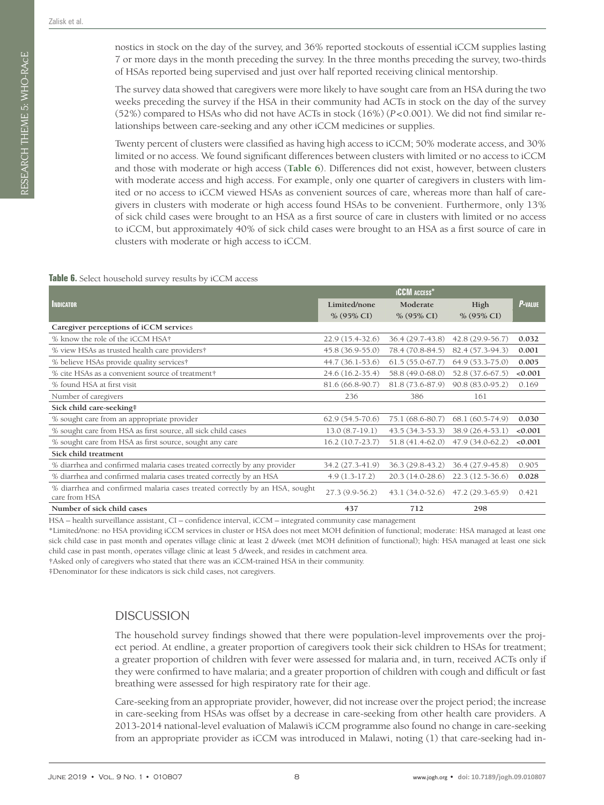The survey data showed that caregivers were more likely to have sought care from an HSA during the two weeks preceding the survey if the HSA in their community had ACTs in stock on the day of the survey (52%) compared to HSAs who did not have ACTs in stock (16%) (*P*<0.001). We did not find similar relationships between care-seeking and any other iCCM medicines or supplies.

Twenty percent of clusters were classified as having high access to iCCM; 50% moderate access, and 30% limited or no access. We found significant differences between clusters with limited or no access to iCCM and those with moderate or high access (**[Table 6](#page-7-0)**). Differences did not exist, however, between clusters with moderate access and high access. For example, only one quarter of caregivers in clusters with limited or no access to iCCM viewed HSAs as convenient sources of care, whereas more than half of caregivers in clusters with moderate or high access found HSAs to be convenient. Furthermore, only 13% of sick child cases were brought to an HSA as a first source of care in clusters with limited or no access to iCCM, but approximately 40% of sick child cases were brought to an HSA as a first source of care in clusters with moderate or high access to iCCM.

#### <span id="page-7-0"></span>Table 6. Select household survey results by iCCM access

|                                                                                             | <b>ICCM</b> ACCESS* |                   |                   |         |
|---------------------------------------------------------------------------------------------|---------------------|-------------------|-------------------|---------|
| <b>INDICATOR</b>                                                                            | Limited/none        | Moderate          | High              | P-VALUE |
|                                                                                             | $\%$ (95% CI)       | $% (95\% CI)$     | $% (95\% CI)$     |         |
| Caregiver perceptions of iCCM services                                                      |                     |                   |                   |         |
| % know the role of the iCCM HSA†                                                            | 22.9 (15.4-32.6)    | 36.4 (29.7-43.8)  | 42.8 (29.9-56.7)  | 0.032   |
| % view HSAs as trusted health care providers†                                               | 45.8 (36.9-55.0)    | 78.4 (70.8-84.5)  | 82.4 (57.3-94.3)  | 0.001   |
| % believe HSAs provide quality services†                                                    | 44.7 (36.1-53.6)    | $61.5(55.0-67.7)$ | 64.9 (53.3-75.0)  | 0.005   |
| % cite HSAs as a convenient source of treatment†                                            | 24.6 (16.2-35.4)    | 58.8 (49.0-68.0)  | 52.8 (37.6-67.5)  | < 0.001 |
| % found HSA at first visit                                                                  | 81.6 (66.8-90.7)    | 81.8 (73.6-87.9)  | 90.8 (83.0-95.2)  | 0.169   |
| Number of caregivers                                                                        | 236                 | 386               | 161               |         |
| Sick child care-seeking#                                                                    |                     |                   |                   |         |
| % sought care from an appropriate provider                                                  | $62.9(54.5-70.6)$   | 75.1 (68.6-80.7)  | 68.1 (60.5-74.9)  | 0.030   |
| % sought care from HSA as first source, all sick child cases                                | $13.0(8.7-19.1)$    | 43.5 (34.3-53.3)  | 38.9 (26.4-53.1)  | < 0.001 |
| % sought care from HSA as first source, sought any care                                     | $16.2(10.7-23.7)$   | $51.8(41.4-62.0)$ | 47.9 (34.0-62.2)  | < 0.001 |
| Sick child treatment                                                                        |                     |                   |                   |         |
| % diarrhea and confirmed malaria cases treated correctly by any provider                    | 34.2 (27.3-41.9)    | 36.3 (29.8-43.2)  | 36.4 (27.9-45.8)  | 0.905   |
| % diarrhea and confirmed malaria cases treated correctly by an HSA                          | $4.9(1.3-17.2)$     | $20.3(14.0-28.6)$ | $22.3(12.5-36.6)$ | 0.028   |
| % diarrhea and confirmed malaria cases treated correctly by an HSA, sought<br>care from HSA | $27.3(9.9-56.2)$    | 43.1 (34.0-52.6)  | 47.2 (29.3-65.9)  | 0.421   |
| Number of sick child cases                                                                  | 437                 | 712               | 298               |         |

HSA – health surveillance assistant, CI – confidence interval, iCCM – integrated community case management

\*Limited/none: no HSA providing iCCM services in cluster or HSA does not meet MOH definition of functional; moderate: HSA managed at least one sick child case in past month and operates village clinic at least 2 d/week (met MOH definition of functional); high: HSA managed at least one sick child case in past month, operates village clinic at least 5 d/week, and resides in catchment area.

†Asked only of caregivers who stated that there was an iCCM-trained HSA in their community.

‡Denominator for these indicators is sick child cases, not caregivers.

#### **DISCUSSION**

The household survey findings showed that there were population-level improvements over the project period. At endline, a greater proportion of caregivers took their sick children to HSAs for treatment; a greater proportion of children with fever were assessed for malaria and, in turn, received ACTs only if they were confirmed to have malaria; and a greater proportion of children with cough and difficult or fast breathing were assessed for high respiratory rate for their age.

Care-seeking from an appropriate provider, however, did not increase over the project period; the increase in care-seeking from HSAs was offset by a decrease in care-seeking from other health care providers. A 2013-2014 national-level evaluation of Malawi's iCCM programme also found no change in care-seeking from an appropriate provider as iCCM was introduced in Malawi, noting (1) that care-seeking had in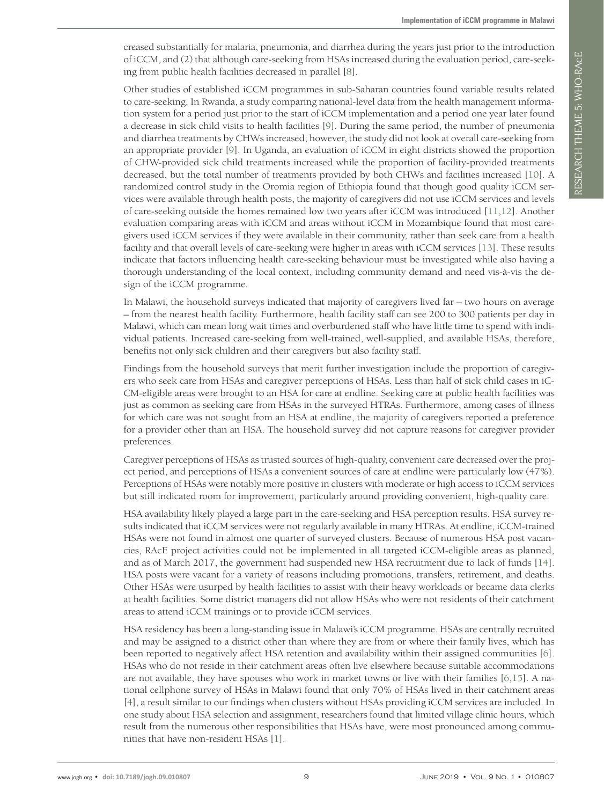creased substantially for malaria, pneumonia, and diarrhea during the years just prior to the introduction of iCCM, and (2) that although care-seeking from HSAs increased during the evaluation period, care-seeking from public health facilities decreased in parallel [[8](#page-11-4)].

Other studies of established iCCM programmes in sub-Saharan countries found variable results related to care-seeking. In Rwanda, a study comparing national-level data from the health management information system for a period just prior to the start of iCCM implementation and a period one year later found a decrease in sick child visits to health facilities [\[9](#page-11-5)]. During the same period, the number of pneumonia and diarrhea treatments by CHWs increased; however, the study did not look at overall care-seeking from an appropriate provider [[9](#page-11-5)]. In Uganda, an evaluation of iCCM in eight districts showed the proportion of CHW-provided sick child treatments increased while the proportion of facility-provided treatments decreased, but the total number of treatments provided by both CHWs and facilities increased [[10\]](#page-11-6). A randomized control study in the Oromia region of Ethiopia found that though good quality iCCM services were available through health posts, the majority of caregivers did not use iCCM services and levels of care-seeking outside the homes remained low two years after iCCM was introduced [[11,](#page-11-7)[12\]](#page-11-8). Another evaluation comparing areas with iCCM and areas without iCCM in Mozambique found that most caregivers used iCCM services if they were available in their community, rather than seek care from a health facility and that overall levels of care-seeking were higher in areas with iCCM services [\[13\]](#page-11-9). These results indicate that factors influencing health care-seeking behaviour must be investigated while also having a thorough understanding of the local context, including community demand and need vis-à-vis the design of the iCCM programme.

In Malawi, the household surveys indicated that majority of caregivers lived far – two hours on average – from the nearest health facility. Furthermore, health facility staff can see 200 to 300 patients per day in Malawi, which can mean long wait times and overburdened staff who have little time to spend with individual patients. Increased care-seeking from well-trained, well-supplied, and available HSAs, therefore, benefits not only sick children and their caregivers but also facility staff.

Findings from the household surveys that merit further investigation include the proportion of caregivers who seek care from HSAs and caregiver perceptions of HSAs. Less than half of sick child cases in iC-CM-eligible areas were brought to an HSA for care at endline. Seeking care at public health facilities was just as common as seeking care from HSAs in the surveyed HTRAs. Furthermore, among cases of illness for which care was not sought from an HSA at endline, the majority of caregivers reported a preference for a provider other than an HSA. The household survey did not capture reasons for caregiver provider preferences.

Caregiver perceptions of HSAs as trusted sources of high-quality, convenient care decreased over the project period, and perceptions of HSAs a convenient sources of care at endline were particularly low (47%). Perceptions of HSAs were notably more positive in clusters with moderate or high access to iCCM services but still indicated room for improvement, particularly around providing convenient, high-quality care.

HSA availability likely played a large part in the care-seeking and HSA perception results. HSA survey results indicated that iCCM services were not regularly available in many HTRAs. At endline, iCCM-trained HSAs were not found in almost one quarter of surveyed clusters. Because of numerous HSA post vacancies, RAcE project activities could not be implemented in all targeted iCCM-eligible areas as planned, and as of March 2017, the government had suspended new HSA recruitment due to lack of funds [\[14](#page-11-10)]. HSA posts were vacant for a variety of reasons including promotions, transfers, retirement, and deaths. Other HSAs were usurped by health facilities to assist with their heavy workloads or became data clerks at health facilities. Some district managers did not allow HSAs who were not residents of their catchment areas to attend iCCM trainings or to provide iCCM services.

HSA residency has been a long-standing issue in Malawi's iCCM programme. HSAs are centrally recruited and may be assigned to a district other than where they are from or where their family lives, which has been reported to negatively affect HSA retention and availability within their assigned communities [[6\]](#page-11-2). HSAs who do not reside in their catchment areas often live elsewhere because suitable accommodations are not available, they have spouses who work in market towns or live with their families [\[6](#page-11-2)[,15\]](#page-11-11). A national cellphone survey of HSAs in Malawi found that only 70% of HSAs lived in their catchment areas [\[4](#page-11-0)], a result similar to our findings when clusters without HSAs providing iCCM services are included. In one study about HSA selection and assignment, researchers found that limited village clinic hours, which result from the numerous other responsibilities that HSAs have, were most pronounced among communities that have non-resident HSAs [\[1](#page-10-0)].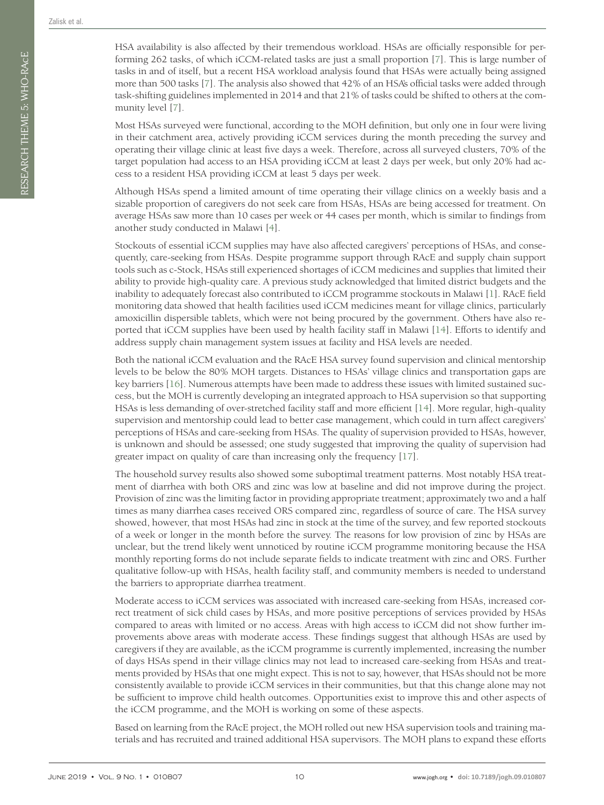Most HSAs surveyed were functional, according to the MOH definition, but only one in four were living in their catchment area, actively providing iCCM services during the month preceding the survey and operating their village clinic at least five days a week. Therefore, across all surveyed clusters, 70% of the target population had access to an HSA providing iCCM at least 2 days per week, but only 20% had access to a resident HSA providing iCCM at least 5 days per week.

Although HSAs spend a limited amount of time operating their village clinics on a weekly basis and a sizable proportion of caregivers do not seek care from HSAs, HSAs are being accessed for treatment. On average HSAs saw more than 10 cases per week or 44 cases per month, which is similar to findings from another study conducted in Malawi [\[4\]](#page-11-0).

Stockouts of essential iCCM supplies may have also affected caregivers' perceptions of HSAs, and consequently, care-seeking from HSAs. Despite programme support through RAcE and supply chain support tools such as c-Stock, HSAs still experienced shortages of iCCM medicines and supplies that limited their ability to provide high-quality care. A previous study acknowledged that limited district budgets and the inability to adequately forecast also contributed to iCCM programme stockouts in Malawi [\[1](#page-10-0)]. RAcE field monitoring data showed that health facilities used iCCM medicines meant for village clinics, particularly amoxicillin dispersible tablets, which were not being procured by the government. Others have also reported that iCCM supplies have been used by health facility staff in Malawi [\[14\]](#page-11-10). Efforts to identify and address supply chain management system issues at facility and HSA levels are needed.

Both the national iCCM evaluation and the RAcE HSA survey found supervision and clinical mentorship levels to be below the 80% MOH targets. Distances to HSAs' village clinics and transportation gaps are key barriers [[16\]](#page-11-12). Numerous attempts have been made to address these issues with limited sustained success, but the MOH is currently developing an integrated approach to HSA supervision so that supporting HSAs is less demanding of over-stretched facility staff and more efficient [[14\]](#page-11-10). More regular, high-quality supervision and mentorship could lead to better case management, which could in turn affect caregivers' perceptions of HSAs and care-seeking from HSAs. The quality of supervision provided to HSAs, however, is unknown and should be assessed; one study suggested that improving the quality of supervision had greater impact on quality of care than increasing only the frequency [\[17](#page-11-13)].

The household survey results also showed some suboptimal treatment patterns. Most notably HSA treatment of diarrhea with both ORS and zinc was low at baseline and did not improve during the project. Provision of zinc was the limiting factor in providing appropriate treatment; approximately two and a half times as many diarrhea cases received ORS compared zinc, regardless of source of care. The HSA survey showed, however, that most HSAs had zinc in stock at the time of the survey, and few reported stockouts of a week or longer in the month before the survey. The reasons for low provision of zinc by HSAs are unclear, but the trend likely went unnoticed by routine iCCM programme monitoring because the HSA monthly reporting forms do not include separate fields to indicate treatment with zinc and ORS. Further qualitative follow-up with HSAs, health facility staff, and community members is needed to understand the barriers to appropriate diarrhea treatment.

Moderate access to iCCM services was associated with increased care-seeking from HSAs, increased correct treatment of sick child cases by HSAs, and more positive perceptions of services provided by HSAs compared to areas with limited or no access. Areas with high access to iCCM did not show further improvements above areas with moderate access. These findings suggest that although HSAs are used by caregivers if they are available, as the iCCM programme is currently implemented, increasing the number of days HSAs spend in their village clinics may not lead to increased care-seeking from HSAs and treatments provided by HSAs that one might expect. This is not to say, however, that HSAs should not be more consistently available to provide iCCM services in their communities, but that this change alone may not be sufficient to improve child health outcomes. Opportunities exist to improve this and other aspects of the iCCM programme, and the MOH is working on some of these aspects.

Based on learning from the RAcE project, the MOH rolled out new HSA supervision tools and training materials and has recruited and trained additional HSA supervisors. The MOH plans to expand these efforts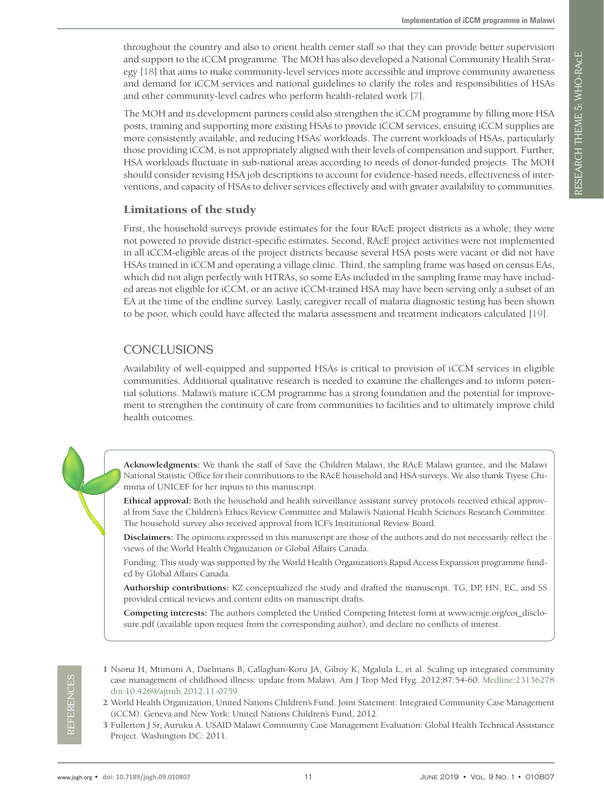throughout the country and also to orient health center staff so that they can provide better supervision and support to the iCCM programme. The MOH has also developed a National Community Health Strategy [\[18\]](#page-11-14) that aims to make community-level services more accessible and improve community awareness and demand for iCCM services and national guidelines to clarify the roles and responsibilities of HSAs and other community-level cadres who perform health-related work [\[7](#page-11-3)].

The MOH and its development partners could also strengthen the iCCM programme by filling more HSA posts, training and supporting more existing HSAs to provide iCCM services, ensuing iCCM supplies are more consistently available, and reducing HSAs' workloads. The current workloads of HSAs, particularly those providing iCCM, is not appropriately aligned with their levels of compensation and support. Further, HSA workloads fluctuate in sub-national areas according to needs of donor-funded projects. The MOH should consider revising HSA job descriptions to account for evidence-based needs, effectiveness of interventions, and capacity of HSAs to deliver services effectively and with greater availability to communities.

#### Limitations of the study

First, the household surveys provide estimates for the four RAcE project districts as a whole; they were not powered to provide district-specific estimates. Second, RAcE project activities were not implemented in all iCCM-eligible areas of the project districts because several HSA posts were vacant or did not have HSAs trained in iCCM and operating a village clinic. Third, the sampling frame was based on census EAs, which did not align perfectly with HTRAs, so some EAs included in the sampling frame may have included areas not eligible for iCCM, or an active iCCM-trained HSA may have been serving only a subset of an EA at the time of the endline survey. Lastly, caregiver recall of malaria diagnostic testing has been shown to be poor, which could have affected the malaria assessment and treatment indicators calculated [[19](#page-11-15)].

### CONCLUSIONS

Availability of well-equipped and supported HSAs is critical to provision of iCCM services in eligible communities. Additional qualitative research is needed to examine the challenges and to inform potential solutions. Malawi's mature iCCM programme has a strong foundation and the potential for improvement to strengthen the continuity of care from communities to facilities and to ultimately improve child health outcomes.

**Acknowledgments:** We thank the staff of Save the Children Malawi, the RAcE Malawi grantee, and the Malawi National Statistic Office for their contributions to the RAcE household and HSA surveys. We also thank Tiyese Chimuna of UNICEF for her inputs to this manuscript.

**Ethical approval:** Both the household and health surveillance assistant survey protocols received ethical approval from Save the Children's Ethics Review Committee and Malawi's National Health Sciences Research Committee. The household survey also received approval from ICF's Institutional Review Board.

**Disclaimers:** The opinions expressed in this manuscript are those of the authors and do not necessarily reflect the views of the World Health Organization or Global Affairs Canada.

Funding: This study was supported by the World Health Organization's Rapid Access Expansion programme funded by Global Affairs Canada.

**Authorship contributions:** KZ conceptualized the study and drafted the manuscript. TG, DP, HN, EC, and SS provided critical reviews and content edits on manuscript drafts.

**Competing interests:** The authors completed the Unified Competing Interest form at www.icmje.org/coi\_disclosure.pdf (available upon request from the corresponding author), and declare no conflicts of interest.

REFERENCES

**REFERENCES** 

- <span id="page-10-0"></span> 1 Nsona H, Mtimuni A, Daelmans B, Callaghan-Koru JA, Gilroy K, Mgalula L, et al. Scaling up integrated community case management of childhood illness: update from Malawi. Am J Trop Med Hyg. 2012;87:54-60[. Medline:23136278](https://www.ncbi.nlm.nih.gov/entrez/query.fcgi?cmd=Retrieve&db=PubMed&list_uids=23136278&dopt=Abstract) [doi:10.4269/ajtmh.2012.11-0759](https://doi.org/10.4269/ajtmh.2012.11-0759)
- <span id="page-10-1"></span> 2 World Health Organization, United Nations Children's Fund. Joint Statement: Integrated Community Case Management (iCCM). Geneva and New York: United Nations Children's Fund, 2012.
- <span id="page-10-2"></span> 3 Fullerton J Sr, Auruku A. USAID Malawi Community Case Management Evaluation: Global Health Technical Assistance Project. Washington DC: 2011.